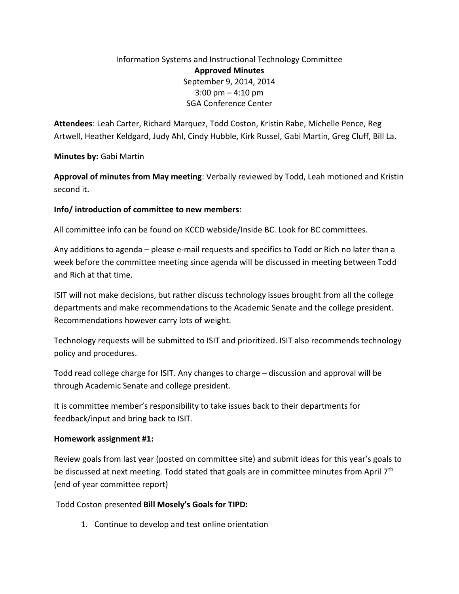# Information Systems and Instructional Technology Committee **Approved Minutes** September 9, 2014, 2014 3:00 pm – 4:10 pm SGA Conference Center

**Attendees**: Leah Carter, Richard Marquez, Todd Coston, Kristin Rabe, Michelle Pence, Reg Artwell, Heather Keldgard, Judy Ahl, Cindy Hubble, Kirk Russel, Gabi Martin, Greg Cluff, Bill La.

**Minutes by:** Gabi Martin

**Approval of minutes from May meeting**: Verbally reviewed by Todd, Leah motioned and Kristin second it.

# **Info/ introduction of committee to new members**:

All committee info can be found on KCCD webside/Inside BC. Look for BC committees.

Any additions to agenda – please e-mail requests and specifics to Todd or Rich no later than a week before the committee meeting since agenda will be discussed in meeting between Todd and Rich at that time.

ISIT will not make decisions, but rather discuss technology issues brought from all the college departments and make recommendations to the Academic Senate and the college president. Recommendations however carry lots of weight.

Technology requests will be submitted to ISIT and prioritized. ISIT also recommends technology policy and procedures.

Todd read college charge for ISIT. Any changes to charge – discussion and approval will be through Academic Senate and college president.

It is committee member's responsibility to take issues back to their departments for feedback/input and bring back to ISIT.

# **Homework assignment #1:**

Review goals from last year (posted on committee site) and submit ideas for this year's goals to be discussed at next meeting. Todd stated that goals are in committee minutes from April 7<sup>th</sup> (end of year committee report)

Todd Coston presented **Bill Mosely's Goals for TIPD:**

1. Continue to develop and test online orientation